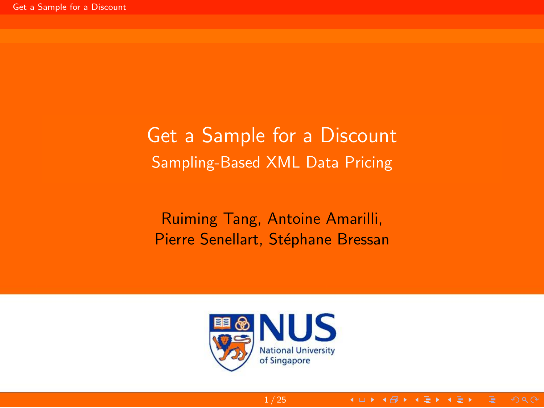# <span id="page-0-0"></span>Get a Sample for a Discount Sampling-Based XML Data Pricing

Ruiming Tang, Antoine Amarilli, Pierre Senellart, Stéphane Bressan



1 / 25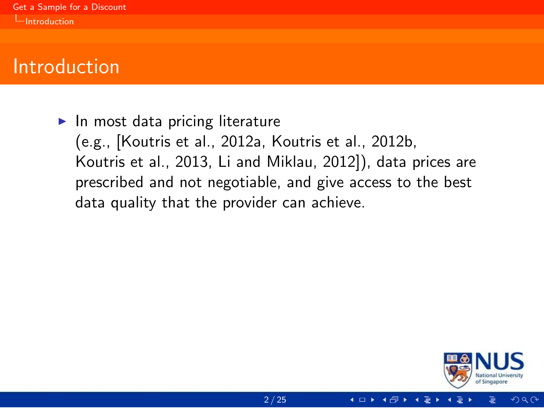<span id="page-1-0"></span> $\blacktriangleright$  In most data pricing literature (e.g., [\[Koutris et al., 2012a,](#page-56-0) [Koutris et al., 2012b,](#page-56-1) [Koutris et al., 2013,](#page-56-2) [Li and Miklau, 2012\]](#page-57-0)), data prices are prescribed and not negotiable, and give access to the best data quality that the provider can achieve.

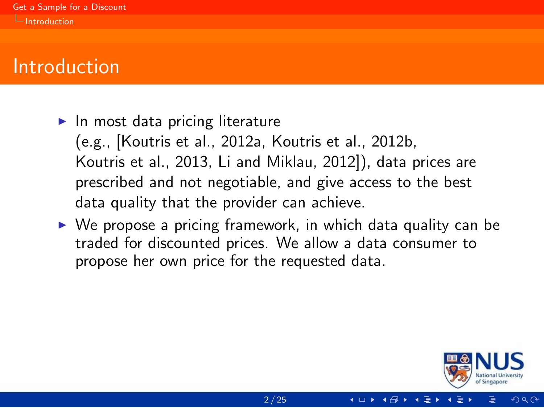<span id="page-2-0"></span> $\blacktriangleright$  In most data pricing literature

(e.g., [\[Koutris et al., 2012a,](#page-56-0) [Koutris et al., 2012b,](#page-56-1) [Koutris et al., 2013,](#page-56-2) [Li and Miklau, 2012\]](#page-57-0)), data prices are prescribed and not negotiable, and give access to the best data quality that the provider can achieve.

 $\triangleright$  We propose a pricing framework, in which data quality can be traded for discounted prices. We allow a data consumer to propose her own price for the requested data.

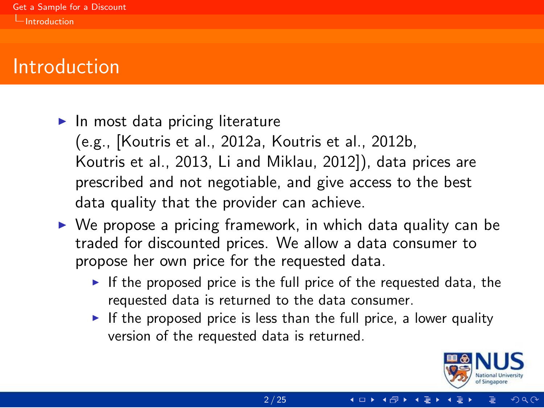#### <span id="page-3-0"></span> $\blacktriangleright$  In most data pricing literature

(e.g., [\[Koutris et al., 2012a,](#page-56-0) [Koutris et al., 2012b,](#page-56-1) [Koutris et al., 2013,](#page-56-2) [Li and Miklau, 2012\]](#page-57-0)), data prices are prescribed and not negotiable, and give access to the best data quality that the provider can achieve.

- $\triangleright$  We propose a pricing framework, in which data quality can be traded for discounted prices. We allow a data consumer to propose her own price for the requested data.
	- If the proposed price is the full price of the requested data, the requested data is returned to the data consumer.
	- If the proposed price is less than the full price, a lower quality version of the requested data is returned.

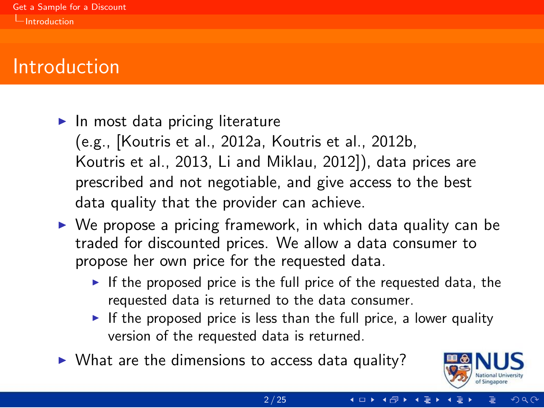#### <span id="page-4-0"></span> $\blacktriangleright$  In most data pricing literature

(e.g., [\[Koutris et al., 2012a,](#page-56-0) [Koutris et al., 2012b,](#page-56-1) [Koutris et al., 2013,](#page-56-2) [Li and Miklau, 2012\]](#page-57-0)), data prices are prescribed and not negotiable, and give access to the best data quality that the provider can achieve.

- $\triangleright$  We propose a pricing framework, in which data quality can be traded for discounted prices. We allow a data consumer to propose her own price for the requested data.
	- If the proposed price is the full price of the requested data, the requested data is returned to the data consumer.
	- If the proposed price is less than the full price, a lower quality version of the requested data is returned.
- $\triangleright$  What are the dimensions to access data quality?

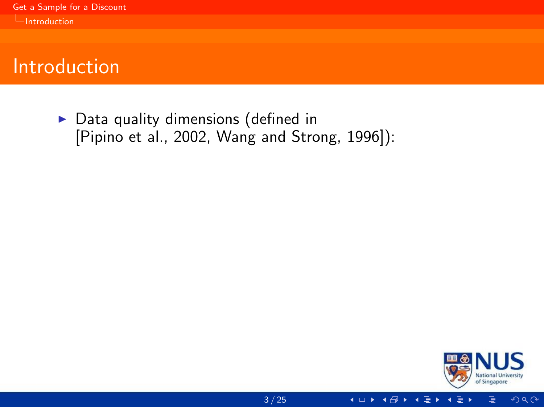<span id="page-5-0"></span> $\triangleright$  Data quality dimensions (defined in [\[Pipino et al., 2002,](#page-57-1) [Wang and Strong, 1996\]](#page-58-0)):



 $2Q$ 

4 □ ▶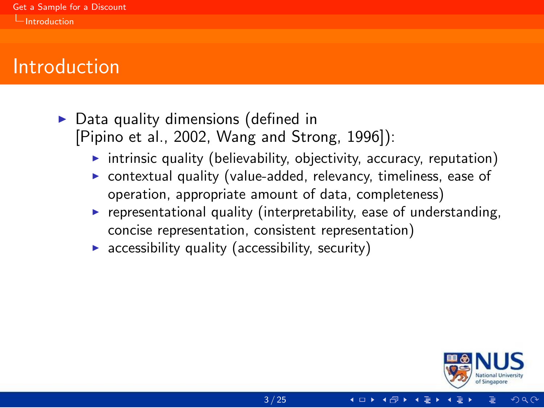- <span id="page-6-0"></span> $\triangleright$  Data quality dimensions (defined in [\[Pipino et al., 2002,](#page-57-1) [Wang and Strong, 1996\]](#page-58-0)):
	- $\triangleright$  intrinsic quality (believability, objectivity, accuracy, reputation)
	- contextual quality (value-added, relevancy, timeliness, ease of operation, appropriate amount of data, completeness)
	- $\triangleright$  representational quality (interpretability, ease of understanding, concise representation, consistent representation)
	- accessibility quality (accessibility, security)

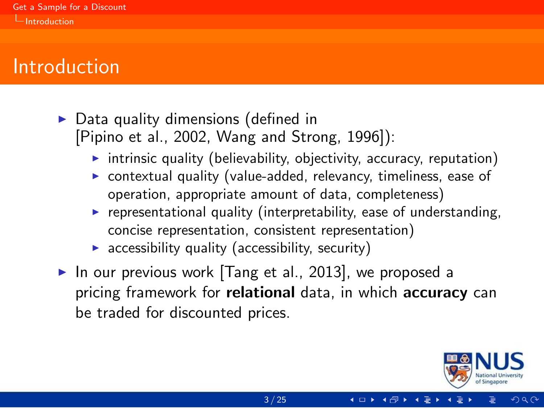- <span id="page-7-0"></span> $\triangleright$  Data quality dimensions (defined in [\[Pipino et al., 2002,](#page-57-1) [Wang and Strong, 1996\]](#page-58-0)):
	- $\triangleright$  intrinsic quality (believability, objectivity, accuracy, reputation)
	- $\triangleright$  contextual quality (value-added, relevancy, timeliness, ease of operation, appropriate amount of data, completeness)
	- $\triangleright$  representational quality (interpretability, ease of understanding, concise representation, consistent representation)
	- $\triangleright$  accessibility quality (accessibility, security)
- In our previous work  $[Tang et al., 2013]$ , we proposed a pricing framework for **relational** data, in which **accuracy** can be traded for discounted prices.

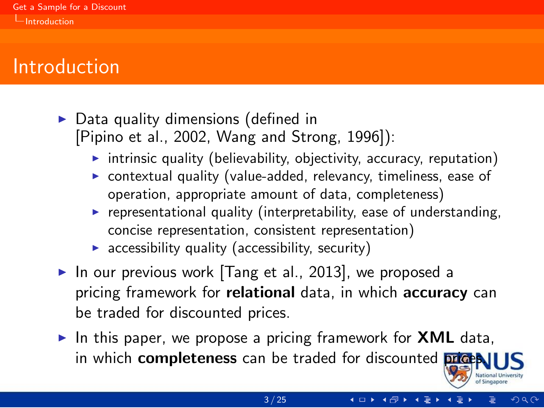- <span id="page-8-0"></span> $\triangleright$  Data quality dimensions (defined in [\[Pipino et al., 2002,](#page-57-1) [Wang and Strong, 1996\]](#page-58-0)):
	- $\triangleright$  intrinsic quality (believability, objectivity, accuracy, reputation)
	- $\triangleright$  contextual quality (value-added, relevancy, timeliness, ease of operation, appropriate amount of data, completeness)
	- $\triangleright$  representational quality (interpretability, ease of understanding, concise representation, consistent representation)
	- $\triangleright$  accessibility quality (accessibility, security)
- In our previous work  $[Tang et al., 2013]$ , we proposed a pricing framework for **relational** data, in which **accuracy** can be traded for discounted prices.
- In this paper, we propose a pricing framework for **XML** data, in which **completeness** can be traded for discounted **prices**.



**◀ □ ▶ ◀ @ ▶ ◀ 글**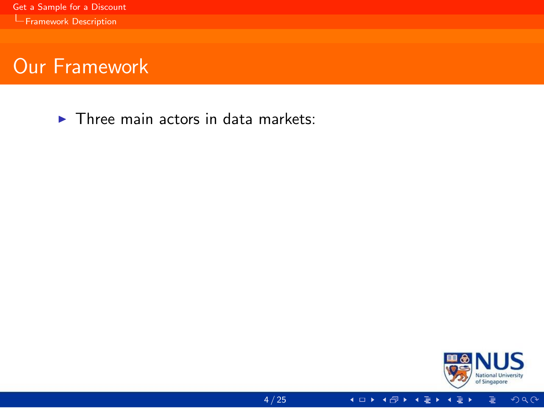<span id="page-9-0"></span> $\blacktriangleright$  Three main actors in data markets:



**4 □ ▶ 4 图 ▶ 4** 

 $2Q$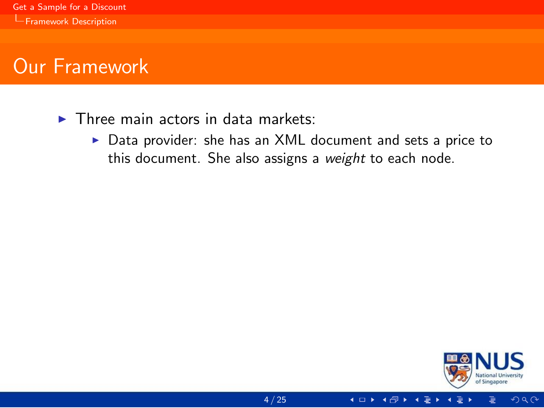- <span id="page-10-0"></span> $\blacktriangleright$  Three main actors in data markets:
	- $\triangleright$  Data provider: she has an XML document and sets a price to this document. She also assigns a weight to each node.



 $2Q$ 

**◆□▶ ◆母▶**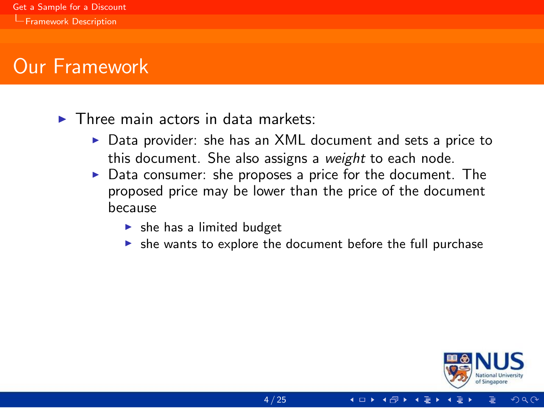<span id="page-11-0"></span> $\blacktriangleright$  Three main actors in data markets:

- $\triangleright$  Data provider: she has an XML document and sets a price to this document. She also assigns a weight to each node.
- $\triangleright$  Data consumer: she proposes a price for the document. The proposed price may be lower than the price of the document because
	- $\blacktriangleright$  she has a limited budget
	- $\triangleright$  she wants to explore the document before the full purchase



 $\Omega$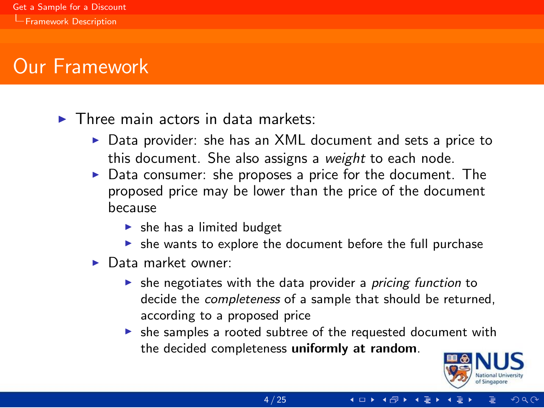<span id="page-12-0"></span> $\blacktriangleright$  Three main actors in data markets:

- $\triangleright$  Data provider: she has an XML document and sets a price to this document. She also assigns a weight to each node.
- Data consumer: she proposes a price for the document. The proposed price may be lower than the price of the document because
	- $\blacktriangleright$  she has a limited budget
	- $\triangleright$  she wants to explore the document before the full purchase
- $\blacktriangleright$  Data market owner:
	- $\triangleright$  she negotiates with the data provider a *pricing function* to decide the completeness of a sample that should be returned, according to a proposed price
	- $\triangleright$  she samples a rooted subtree of the requested document with the decided completeness uniformly at random.

4 ロト 4 伊 ト 4 号



 $QQ$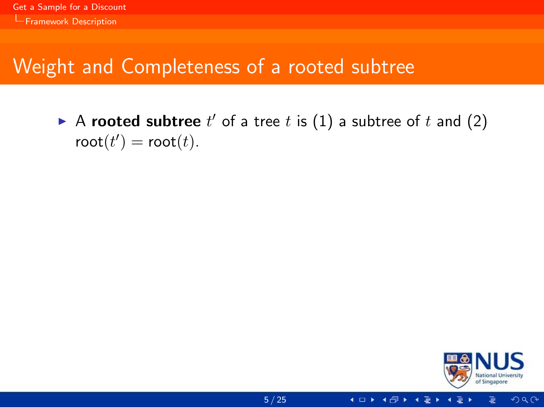# <span id="page-13-0"></span>Weight and Completeness of a rooted subtree

A rooted subtree  $t'$  of a tree t is  $(1)$  a subtree of t and  $(2)$  $\text{root}(t') = \text{root}(t).$ 



 $2Q$ 

4 □ ▶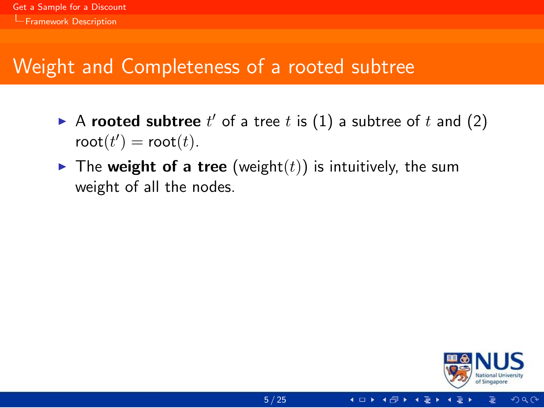# <span id="page-14-0"></span>Weight and Completeness of a rooted subtree

- A rooted subtree  $t'$  of a tree t is  $(1)$  a subtree of t and  $(2)$  $\text{root}(t') = \text{root}(t).$
- $\triangleright$  The weight of a tree (weight(t)) is intuitively, the sum weight of all the nodes.

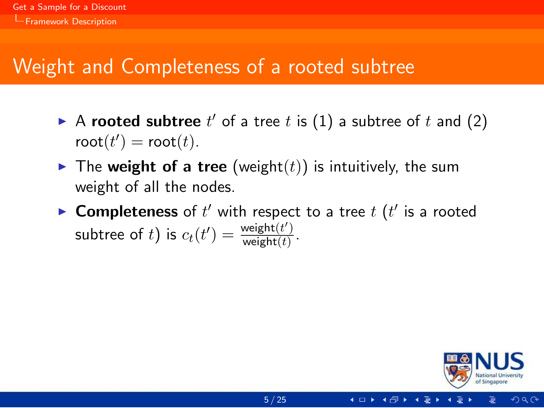# <span id="page-15-0"></span>Weight and Completeness of a rooted subtree

- A rooted subtree  $t'$  of a tree t is  $(1)$  a subtree of t and  $(2)$  $\text{root}(t') = \text{root}(t).$
- $\blacktriangleright$  The weight of a tree (weight(t)) is intuitively, the sum weight of all the nodes.
- ▶ Completeness of  $t'$  with respect to a tree  $t$   $(t'$  is a rooted subtree of t) is  $c_t(t') = \frac{\text{weight}(t')}{\text{weight}(t)}$  $\frac{\text{weight}(t)}{\text{weight}(t)}$ .

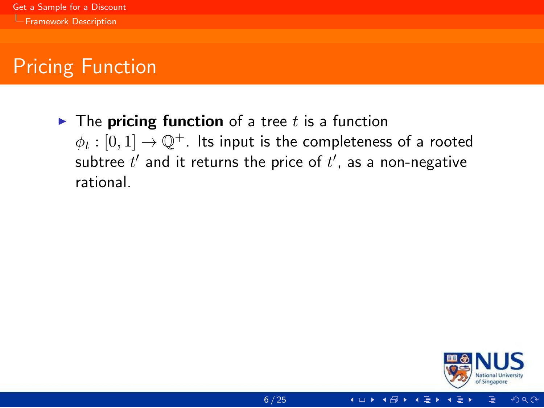<span id="page-16-0"></span> $\triangleright$  The pricing function of a tree t is a function  $\phi_t:[0,1]\rightarrow \mathbb{Q}^+$ . Its input is the completeness of a rooted subtree  $t^\prime$  and it returns the price of  $t^\prime$ , as a non-negative rational.



 $\Omega$ 

4 □ ▶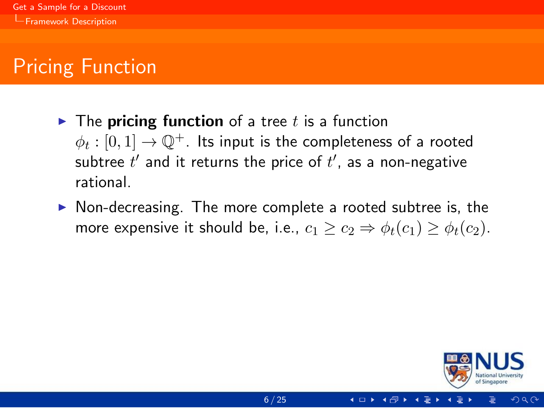- <span id="page-17-0"></span> $\triangleright$  The **pricing function** of a tree t is a function  $\phi_t:[0,1]\rightarrow \mathbb{Q}^+$ . Its input is the completeness of a rooted subtree  $t^\prime$  and it returns the price of  $t^\prime$ , as a non-negative rational.
- $\triangleright$  Non-decreasing. The more complete a rooted subtree is, the more expensive it should be, i.e.,  $c_1 \ge c_2 \Rightarrow \phi_t(c_1) \ge \phi_t(c_2)$ .

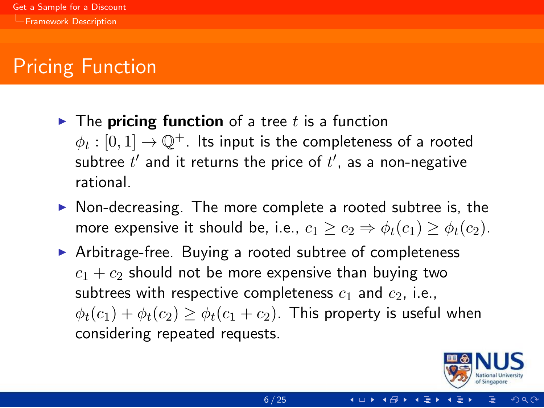- <span id="page-18-0"></span> $\triangleright$  The **pricing function** of a tree t is a function  $\phi_t:[0,1]\rightarrow \mathbb{Q}^+$ . Its input is the completeness of a rooted subtree  $t^\prime$  and it returns the price of  $t^\prime$ , as a non-negative rational.
- $\triangleright$  Non-decreasing. The more complete a rooted subtree is, the more expensive it should be, i.e.,  $c_1 \geq c_2 \Rightarrow \phi_t(c_1) \geq \phi_t(c_2)$ .
- $\triangleright$  Arbitrage-free. Buying a rooted subtree of completeness  $c_1 + c_2$  should not be more expensive than buying two subtrees with respective completeness  $c_1$  and  $c_2$ , i.e.,  $\phi_t(c_1) + \phi_t(c_2) > \phi_t(c_1 + c_2)$ . This property is useful when considering repeated requests.

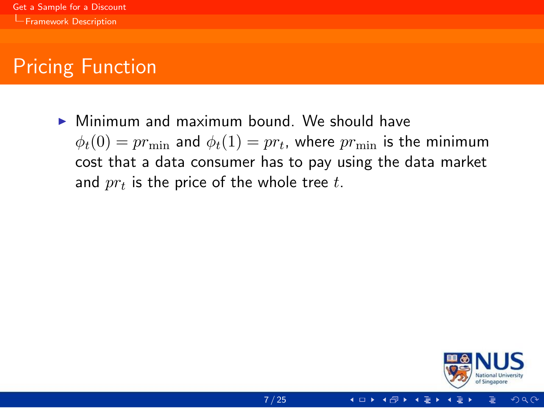<span id="page-19-0"></span> $\triangleright$  Minimum and maximum bound. We should have  $\phi_t(0)=pr_{\min}$  and  $\phi_t(1)=pr_t$ , where  $pr_{\min}$  is the minimum cost that a data consumer has to pay using the data market and  $\mathit{pr}_t$  is the price of the whole tree  $t.$ 

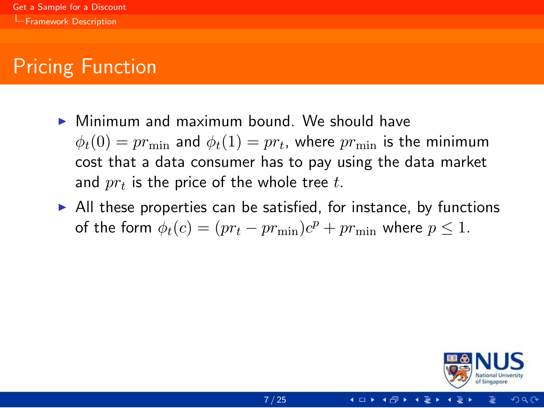- <span id="page-20-0"></span> $\triangleright$  Minimum and maximum bound. We should have  $\phi_t(0)=pr_{\min}$  and  $\phi_t(1)=pr_t$ , where  $pr_{\min}$  is the minimum cost that a data consumer has to pay using the data market and  $\mathit{pr}_t$  is the price of the whole tree  $t.$
- $\triangleright$  All these properties can be satisfied, for instance, by functions of the form  $\phi_t(c) = (pr_t - pr_{\min})c^p + pr_{\min}$  where  $p \leq 1$ .

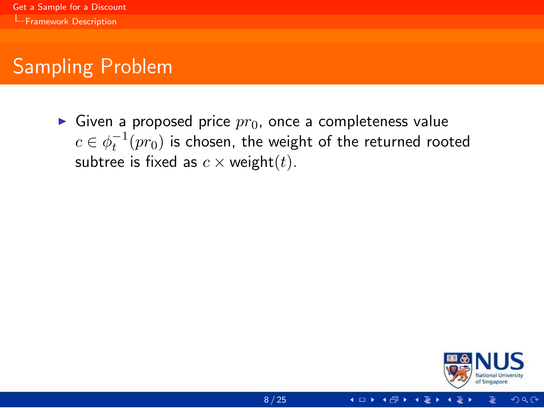# <span id="page-21-0"></span>Sampling Problem

Given a proposed price  $pr_0$ , once a completeness value  $c \in \phi_t^{-1}(pr_0)$  is chosen, the weight of the returned rooted subtree is fixed as  $c \times$  weight(t).



 $\Omega$ 

4 □ ▶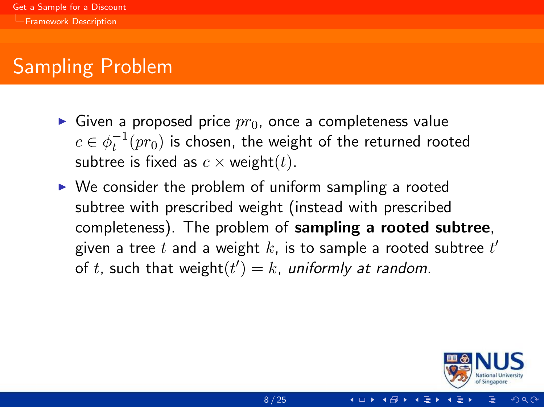# <span id="page-22-0"></span>Sampling Problem

- Given a proposed price  $pr_0$ , once a completeness value  $c \in \phi_t^{-1}(pr_0)$  is chosen, the weight of the returned rooted subtree is fixed as  $c \times$  weight(*t*).
- $\triangleright$  We consider the problem of uniform sampling a rooted subtree with prescribed weight (instead with prescribed completeness). The problem of sampling a rooted subtree, given a tree  $t$  and a weight  $k$ , is to sample a rooted subtree  $t^\prime$ of t, such that weight $(t') = k$ , uniformly at random.

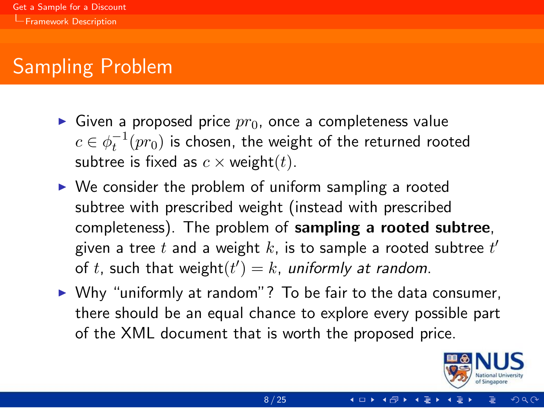# <span id="page-23-0"></span>Sampling Problem

- Given a proposed price  $pr_0$ , once a completeness value  $c \in \phi_t^{-1}(pr_0)$  is chosen, the weight of the returned rooted subtree is fixed as  $c \times$  weight(*t*).
- $\triangleright$  We consider the problem of uniform sampling a rooted subtree with prescribed weight (instead with prescribed completeness). The problem of sampling a rooted subtree, given a tree  $t$  and a weight  $k$ , is to sample a rooted subtree  $t^\prime$ of t, such that weight $(t') = k$ , uniformly at random.
- $\triangleright$  Why "uniformly at random"? To be fair to the data consumer, there should be an equal chance to explore every possible part of the XML document that is worth the proposed price.

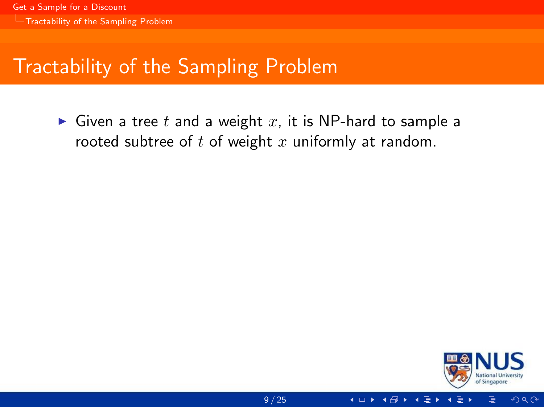# <span id="page-24-0"></span>Tractability of the Sampling Problem

Given a tree t and a weight x, it is NP-hard to sample a rooted subtree of  $t$  of weight  $x$  uniformly at random.

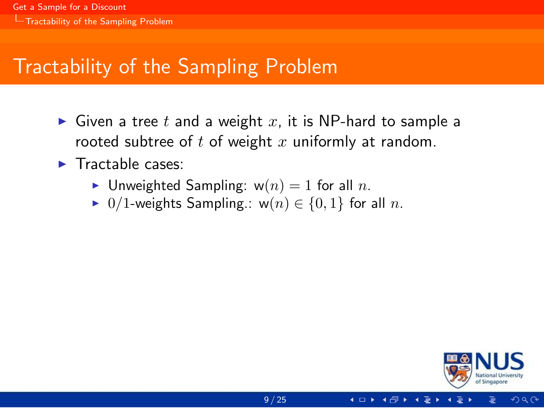# <span id="page-25-0"></span>Tractability of the Sampling Problem

- $\triangleright$  Given a tree t and a weight x, it is NP-hard to sample a rooted subtree of  $t$  of weight  $x$  uniformly at random.
- $\blacktriangleright$  Tractable cases:
	- In Unweighted Sampling:  $w(n) = 1$  for all n.
	- $\triangleright$  0/1-weights Sampling.: w(n) ∈ {0, 1} for all n.



つへへ

4 □ ▶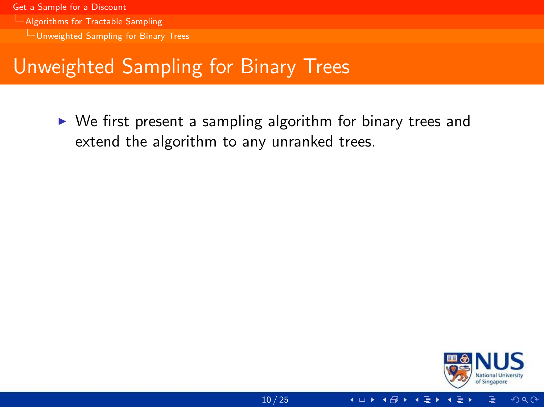- <span id="page-26-0"></span>[Algorithms for Tractable Sampling](#page-26-0)
	- [Unweighted Sampling for Binary Trees](#page-26-0)

#### Unweighted Sampling for Binary Trees

 $\triangleright$  We first present a sampling algorithm for binary trees and extend the algorithm to any unranked trees.

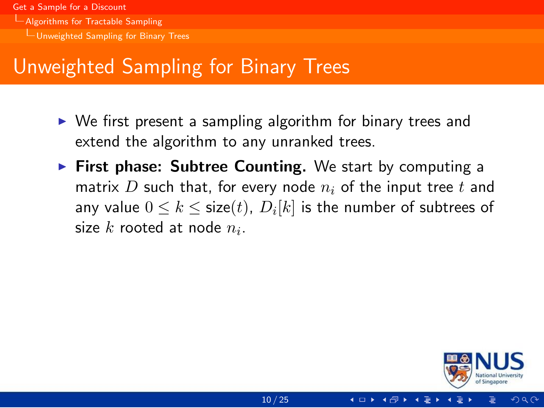- <span id="page-27-0"></span>[Algorithms for Tractable Sampling](#page-27-0)
	- [Unweighted Sampling for Binary Trees](#page-27-0)

# Unweighted Sampling for Binary Trees

- $\triangleright$  We first present a sampling algorithm for binary trees and extend the algorithm to any unranked trees.
- $\triangleright$  First phase: Subtree Counting. We start by computing a matrix D such that, for every node  $n_i$  of the input tree t and any value  $0\leq k\leq \mathsf{size}(t)$ ,  $D_i[k]$  is the number of subtrees of size  $k$  rooted at node  $n_i$ .

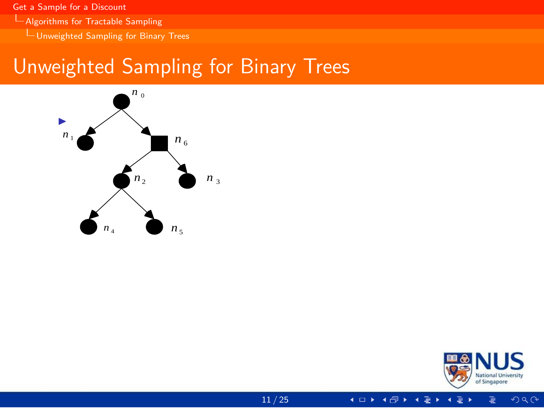<span id="page-28-0"></span>[Algorithms for Tractable Sampling](#page-28-0)

 $L$ [Unweighted Sampling for Binary Trees](#page-28-0)

# Unweighted Sampling for Binary Trees



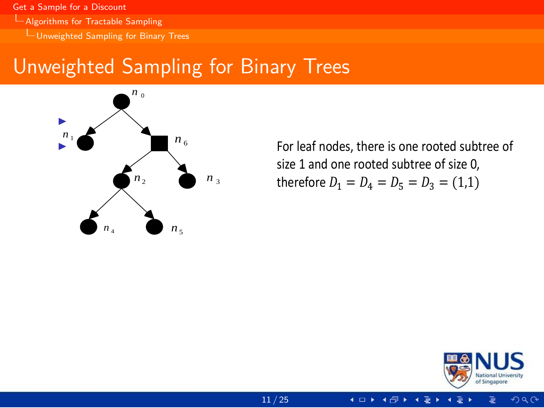<span id="page-29-0"></span>[Algorithms for Tractable Sampling](#page-29-0)

[Unweighted Sampling for Binary Trees](#page-29-0)

#### Unweighted Sampling for Binary Trees



*n* therefore  $D_1 = D_4 = D_5 = D_3 = (1,1)$ size 1 and one rooted subtree of size 0,



 $\Omega$ 

 $\leftarrow$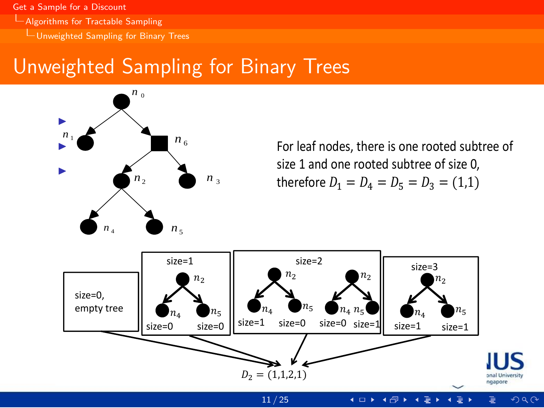<span id="page-30-0"></span>[Algorithms for Tractable Sampling](#page-30-0)

[Unweighted Sampling for Binary Trees](#page-30-0)

# Unweighted Sampling for Binary Trees



*n* therefore  $D_1 = D_4 = D_5 = D_3 = (1,1)$ size 1 and one rooted subtree of size 0,

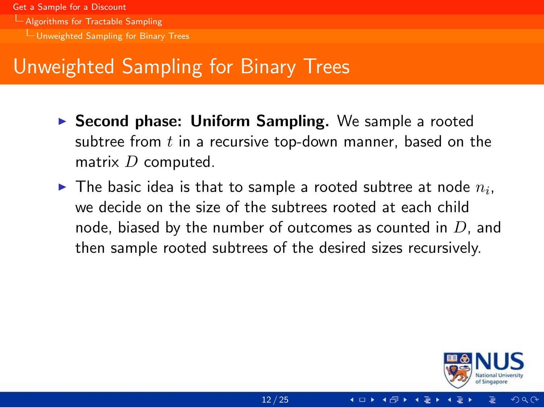- <span id="page-31-0"></span>[Algorithms for Tractable Sampling](#page-31-0)
	- [Unweighted Sampling for Binary Trees](#page-31-0)

# Unweighted Sampling for Binary Trees

- **> Second phase: Uniform Sampling.** We sample a rooted subtree from  $t$  in a recursive top-down manner, based on the matrix  $D$  computed.
- $\blacktriangleright$  The basic idea is that to sample a rooted subtree at node  $n_i,$ we decide on the size of the subtrees rooted at each child node, biased by the number of outcomes as counted in  $D$ , and then sample rooted subtrees of the desired sizes recursively.

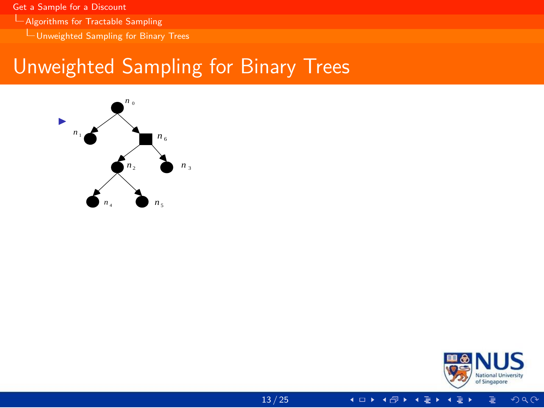<span id="page-32-0"></span>[Algorithms for Tractable Sampling](#page-32-0)

[Unweighted Sampling for Binary Trees](#page-32-0)

# Unweighted Sampling for Binary Trees



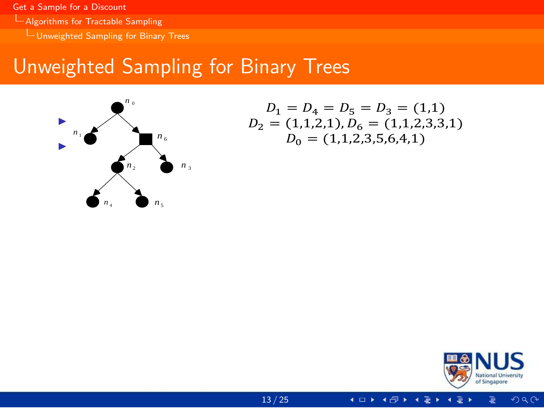<span id="page-33-0"></span>[Algorithms for Tractable Sampling](#page-33-0)

[Unweighted Sampling for Binary Trees](#page-33-0)

# Unweighted Sampling for Binary Trees



$$
D_1 = D_4 = D_5 = D_3 = (1,1)
$$
  

$$
D_2 = (1,1,2,1), D_6 = (1,1,2,3,3,1)
$$
  

$$
D_0 = (1,1,2,3,5,6,4,1)
$$

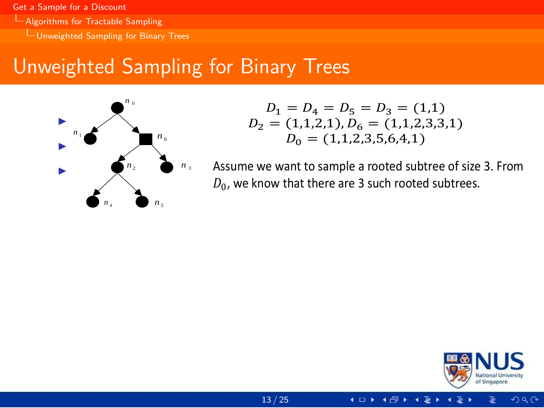- <span id="page-34-0"></span>L [Algorithms for Tractable Sampling](#page-34-0)
	- [Unweighted Sampling for Binary Trees](#page-34-0)

# Unweighted Sampling for Binary Trees



$$
D_1 = D_4 = D_5 = D_3 = (1,1)
$$
  

$$
D_2 = (1,1,2,1), D_6 = (1,1,2,3,3,1)
$$
  

$$
D_0 = (1,1,2,3,5,6,4,1)
$$

*n*<sup>3</sup> *n* <sup>4</sup> Assume we want to sample a rooted subtree of size 3. From  $D_0$ , we know that there are 3 such rooted subtrees.

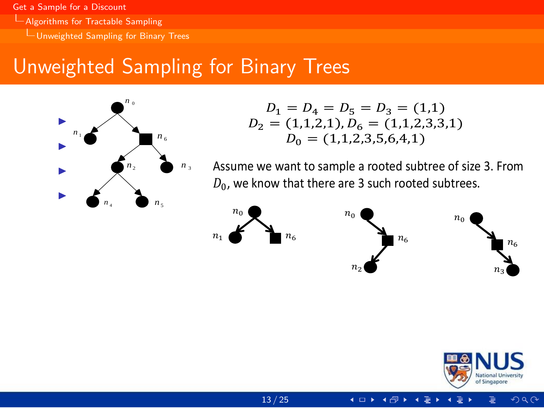- <span id="page-35-0"></span>**L[Algorithms for Tractable Sampling](#page-35-0)** 
	- [Unweighted Sampling for Binary Trees](#page-35-0)

# Unweighted Sampling for Binary Trees



$$
D_1 = D_4 = D_5 = D_3 = (1,1)
$$
  

$$
D_2 = (1,1,2,1), D_6 = (1,1,2,3,3,1)
$$
  

$$
D_0 = (1,1,2,3,5,6,4,1)
$$

*n*<sup>3</sup> *n* <sup>4</sup> Assume we want to sample a rooted subtree of size 3. From  $D_0$ , we know that there are 3 such rooted subtrees.



size=0 ……

si[ze=](#page-25-0)2



size=1 ……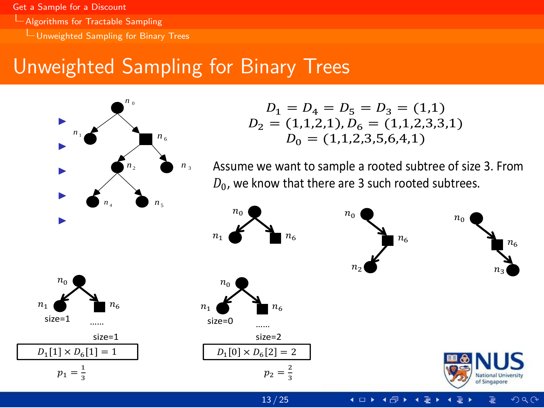- <span id="page-36-0"></span>[Algorithms for Tractable Sampling](#page-36-0)
	- [Unweighted Sampling for Binary Trees](#page-36-0)

# Unweighted Sampling for Binary Trees



$$
D_1 = D_4 = D_5 = D_3 = (1,1)
$$
  

$$
D_2 = (1,1,2,1), D_6 = (1,1,2,3,3,1)
$$
  

$$
D_0 = (1,1,2,3,5,6,4,1)
$$

*n*<sup>3</sup> *n* <sup>4</sup> Assume we want to sample a rooted subtree of size 3. From  $D_0$ , we know that there are 3 such rooted subtrees.



si[ze=](#page-25-0)2

 $A$ ssume we sample the second case. Then we need to sample a rooted to sample a rooted to sample a rooted to sample a rooted to sample a rooted to sample a rooted to sample a rooted to sample a rooted to sample a rooted t

13 / 25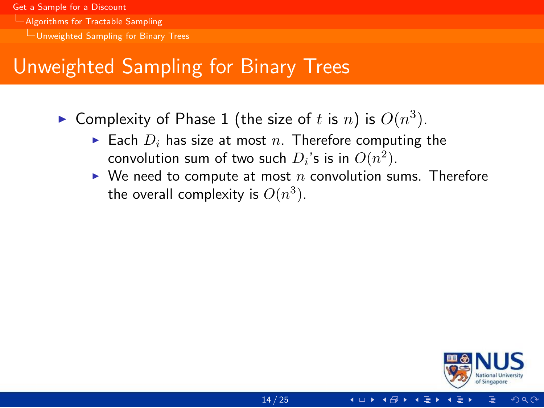- <span id="page-37-0"></span>**L[Algorithms for Tractable Sampling](#page-37-0)** 
	- [Unweighted Sampling for Binary Trees](#page-37-0)

# Unweighted Sampling for Binary Trees

- $\blacktriangleright$  Complexity of Phase 1 (the size of t is n) is  $O(n^3)$ .
	- Each  $D_i$  has size at most n. Therefore computing the convolution sum of two such  $D_i$ 's is in  $O(n^2)$ .
	- $\blacktriangleright$  We need to compute at most n convolution sums. Therefore the overall complexity is  $O(n^3)$ .

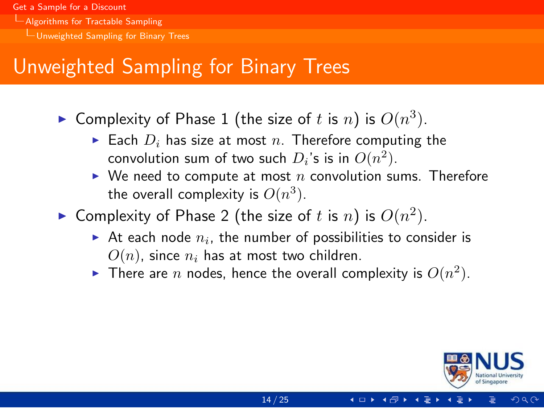- <span id="page-38-0"></span>[Algorithms for Tractable Sampling](#page-38-0)
	- [Unweighted Sampling for Binary Trees](#page-38-0)

# Unweighted Sampling for Binary Trees

- $\blacktriangleright$  Complexity of Phase 1 (the size of t is n) is  $O(n^3)$ .
	- Each  $D_i$  has size at most n. Therefore computing the convolution sum of two such  $D_i$ 's is in  $O(n^2)$ .
	- $\blacktriangleright$  We need to compute at most n convolution sums. Therefore the overall complexity is  $O(n^3)$ .
- ▶ Complexity of Phase 2 (the size of t is n) is  $O(n^2)$ .
	- $\blacktriangleright$  At each node  $n_i$ , the number of possibilities to consider is  $O(n)$ , since  $n_i$  has at most two children.
	- $\blacktriangleright$  There are  $n$  nodes, hence the overall complexity is  $O(n^2)$ .

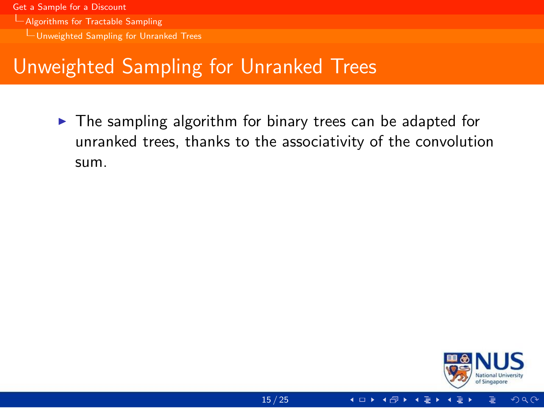- <span id="page-39-0"></span>[Algorithms for Tractable Sampling](#page-39-0)
	- [Unweighted Sampling for Unranked Trees](#page-39-0)

# Unweighted Sampling for Unranked Trees

 $\triangleright$  The sampling algorithm for binary trees can be adapted for unranked trees, thanks to the associativity of the convolution sum.

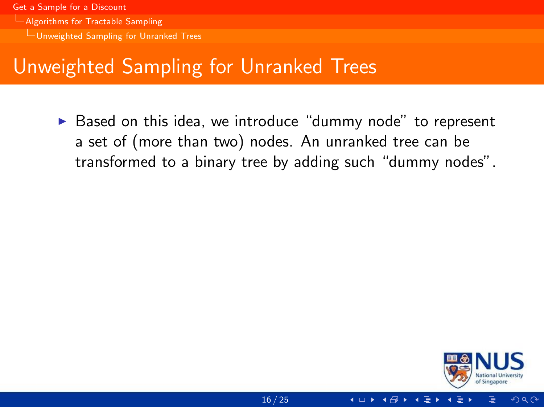- <span id="page-40-0"></span>[Algorithms for Tractable Sampling](#page-40-0)
	- [Unweighted Sampling for Unranked Trees](#page-40-0)

# Unweighted Sampling for Unranked Trees

 $\triangleright$  Based on this idea, we introduce "dummy node" to represent a set of (more than two) nodes. An unranked tree can be transformed to a binary tree by adding such "dummy nodes".

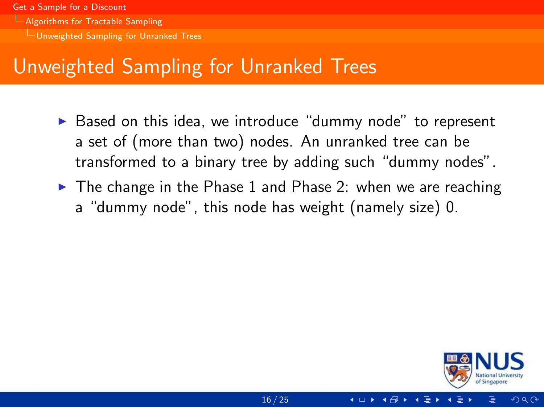- <span id="page-41-0"></span>[Algorithms for Tractable Sampling](#page-41-0)
	- [Unweighted Sampling for Unranked Trees](#page-41-0)

# Unweighted Sampling for Unranked Trees

- $\triangleright$  Based on this idea, we introduce "dummy node" to represent a set of (more than two) nodes. An unranked tree can be transformed to a binary tree by adding such "dummy nodes".
- $\triangleright$  The change in the Phase 1 and Phase 2: when we are reaching a "dummy node", this node has weight (namely size) 0.

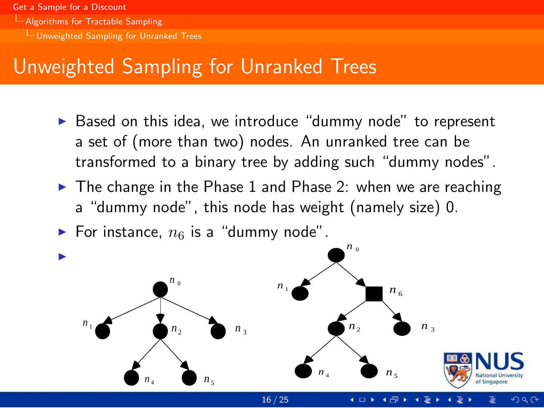- <span id="page-42-0"></span>**L[Algorithms for Tractable Sampling](#page-42-0)** 
	- [Unweighted Sampling for Unranked Trees](#page-42-0)

# Unweighted Sampling for Unranked Trees

- $\triangleright$  Based on this idea, we introduce "dummy node" to represent a set of (more than two) nodes. An unranked tree can be transformed to a binary tree by adding such "dummy nodes".
- $\triangleright$  The change in the Phase 1 and Phase 2: when we are reaching a "dummy node", this node has weight (namely size) 0.
- For instance,  $n_6$  is a "dummy node".



 $\Omega$ 

16 / 25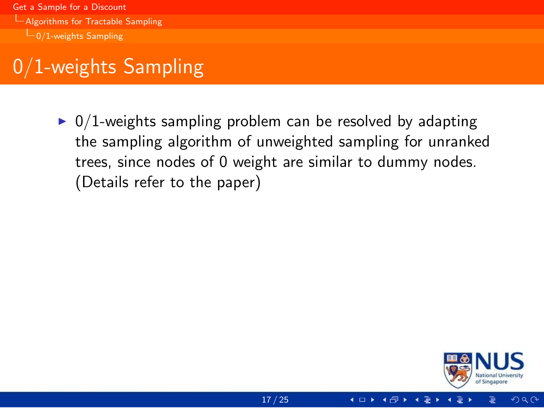<span id="page-43-0"></span>[Get a Sample for a Discount](#page-0-0) [Algorithms for Tractable Sampling](#page-43-0)  $L_{0/1}$ -weights Sampling

# 0/1-weights Sampling

 $\triangleright$  0/1-weights sampling problem can be resolved by adapting the sampling algorithm of unweighted sampling for unranked trees, since nodes of 0 weight are similar to dummy nodes. (Details refer to the paper)



 $290$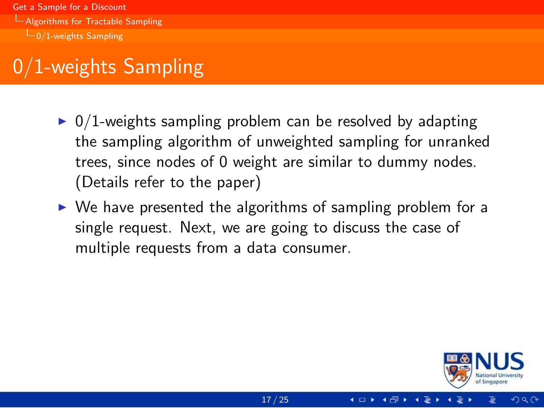<span id="page-44-0"></span>[Get a Sample for a Discount](#page-0-0) [Algorithms for Tractable Sampling](#page-44-0)  $\Box$ [0/1-weights Sampling](#page-44-0)

# 0/1-weights Sampling

- $\triangleright$  0/1-weights sampling problem can be resolved by adapting the sampling algorithm of unweighted sampling for unranked trees, since nodes of 0 weight are similar to dummy nodes. (Details refer to the paper)
- $\triangleright$  We have presented the algorithms of sampling problem for a single request. Next, we are going to discuss the case of multiple requests from a data consumer.

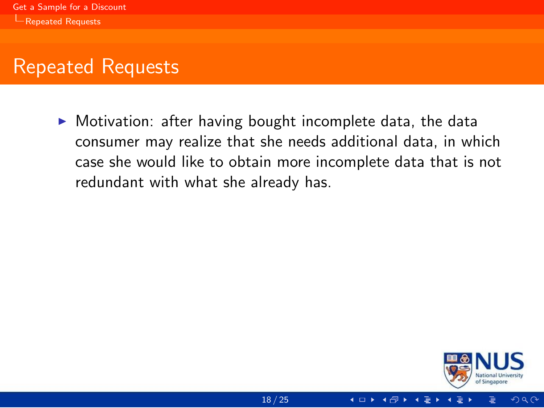<span id="page-45-0"></span> $\triangleright$  Motivation: after having bought incomplete data, the data consumer may realize that she needs additional data, in which case she would like to obtain more incomplete data that is not redundant with what she already has.



 $\Omega$ 

4 □ ▶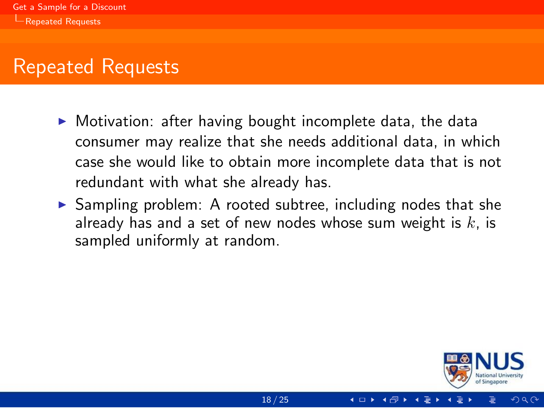- <span id="page-46-0"></span> $\triangleright$  Motivation: after having bought incomplete data, the data consumer may realize that she needs additional data, in which case she would like to obtain more incomplete data that is not redundant with what she already has.
- $\triangleright$  Sampling problem: A rooted subtree, including nodes that she already has and a set of new nodes whose sum weight is  $k$ , is sampled uniformly at random.

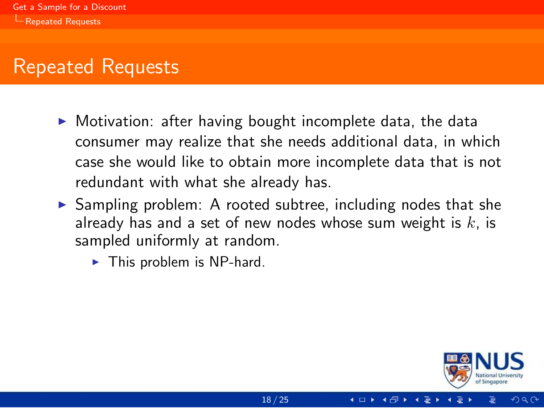- <span id="page-47-0"></span> $\triangleright$  Motivation: after having bought incomplete data, the data consumer may realize that she needs additional data, in which case she would like to obtain more incomplete data that is not redundant with what she already has.
- $\triangleright$  Sampling problem: A rooted subtree, including nodes that she already has and a set of new nodes whose sum weight is  $k$ , is sampled uniformly at random.
	- $\blacktriangleright$  This problem is NP-hard.

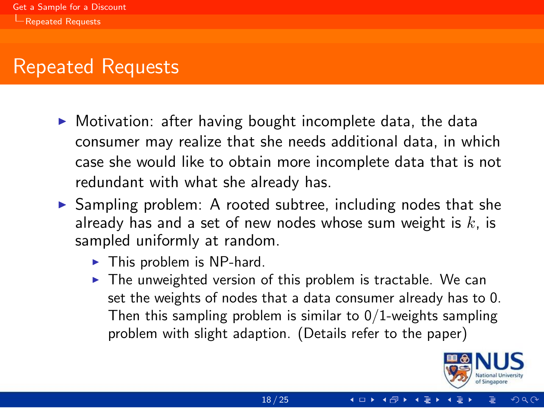- <span id="page-48-0"></span> $\triangleright$  Motivation: after having bought incomplete data, the data consumer may realize that she needs additional data, in which case she would like to obtain more incomplete data that is not redundant with what she already has.
- $\triangleright$  Sampling problem: A rooted subtree, including nodes that she already has and a set of new nodes whose sum weight is  $k$ , is sampled uniformly at random.
	- $\blacktriangleright$  This problem is NP-hard.
	- $\triangleright$  The unweighted version of this problem is tractable. We can set the weights of nodes that a data consumer already has to 0. Then this sampling problem is similar to  $0/1$ -weights sampling problem with slight adaption. (Details refer to the paper)

**◀ □ ▶ ◀ 何 ▶** 

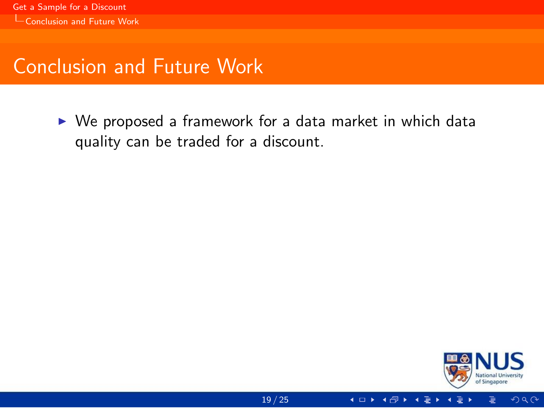<span id="page-49-0"></span> $\triangleright$  We proposed a framework for a data market in which data quality can be traded for a discount.

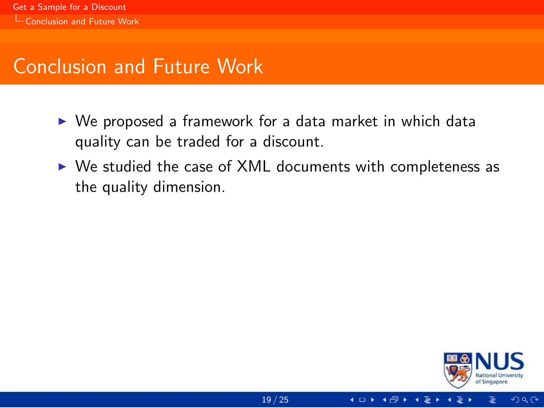- <span id="page-50-0"></span> $\triangleright$  We proposed a framework for a data market in which data quality can be traded for a discount.
- $\triangleright$  We studied the case of XML documents with completeness as the quality dimension.



 $\Omega$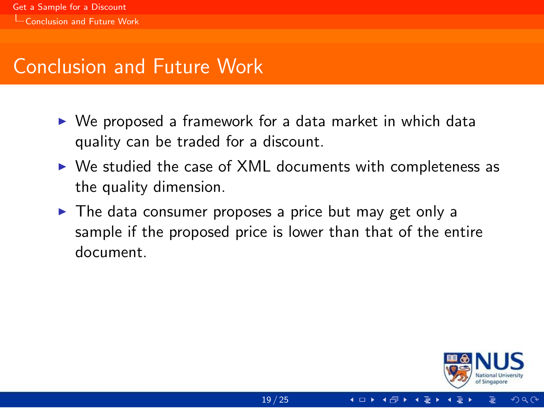- <span id="page-51-0"></span> $\triangleright$  We proposed a framework for a data market in which data quality can be traded for a discount.
- $\triangleright$  We studied the case of XML documents with completeness as the quality dimension.
- $\triangleright$  The data consumer proposes a price but may get only a sample if the proposed price is lower than that of the entire document.



 $\Omega$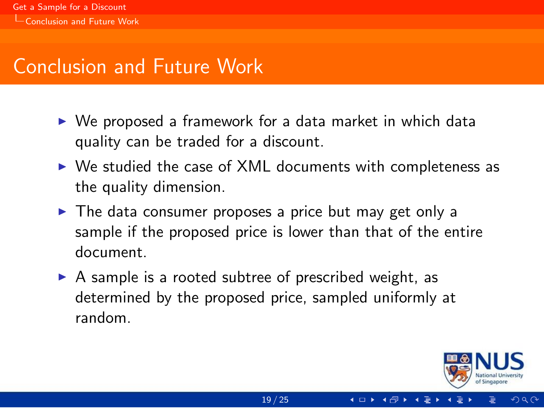- <span id="page-52-0"></span> $\triangleright$  We proposed a framework for a data market in which data quality can be traded for a discount.
- $\triangleright$  We studied the case of XML documents with completeness as the quality dimension.
- $\triangleright$  The data consumer proposes a price but may get only a sample if the proposed price is lower than that of the entire document.
- $\triangleright$  A sample is a rooted subtree of prescribed weight, as determined by the proposed price, sampled uniformly at random.



 $\Omega$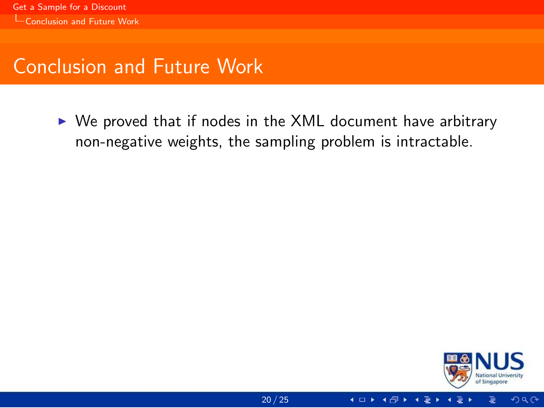<span id="page-53-0"></span> $\triangleright$  We proved that if nodes in the XML document have arbitrary non-negative weights, the sampling problem is intractable.



 $2Q$ 

4 □ ▶ ◀冊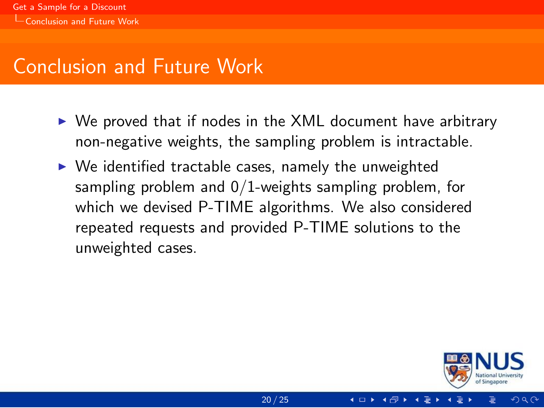- <span id="page-54-0"></span> $\triangleright$  We proved that if nodes in the XML document have arbitrary non-negative weights, the sampling problem is intractable.
- $\triangleright$  We identified tractable cases, namely the unweighted sampling problem and 0/1-weights sampling problem, for which we devised P-TIME algorithms. We also considered repeated requests and provided P-TIME solutions to the unweighted cases.

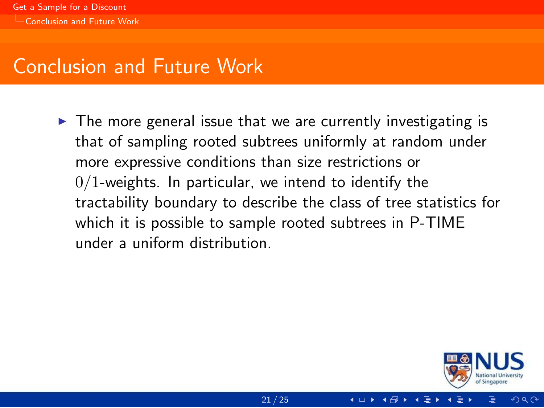<span id="page-55-0"></span> $\triangleright$  The more general issue that we are currently investigating is that of sampling rooted subtrees uniformly at random under more expressive conditions than size restrictions or  $0/1$ -weights. In particular, we intend to identify the tractability boundary to describe the class of tree statistics for which it is possible to sample rooted subtrees in P-TIME under a uniform distribution.

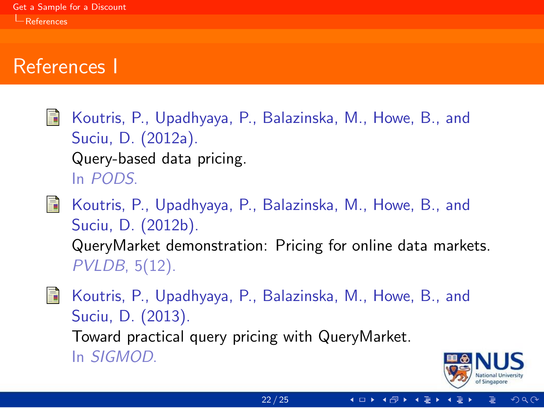#### <span id="page-56-3"></span>References I

<span id="page-56-0"></span>量 Koutris, P., Upadhyaya, P., Balazinska, M., Howe, B., and Suciu, D. (2012a). Query-based data pricing. In PODS.

<span id="page-56-1"></span>F Koutris, P., Upadhyaya, P., Balazinska, M., Howe, B., and Suciu, D. (2012b). QueryMarket demonstration: Pricing for online data markets. PVLDB, 5(12).

<span id="page-56-2"></span>讀

Koutris, P., Upadhyaya, P., Balazinska, M., Howe, B., and Suciu, D. (2013). Toward practical query pricing with QueryMarket. In SIGMOD.

 $\Omega$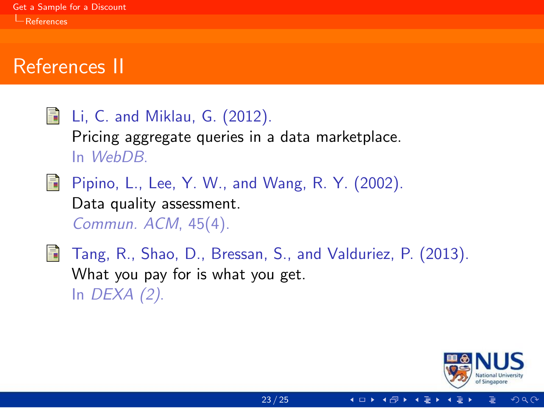#### <span id="page-57-3"></span>References II

<span id="page-57-2"></span><span id="page-57-1"></span><span id="page-57-0"></span>

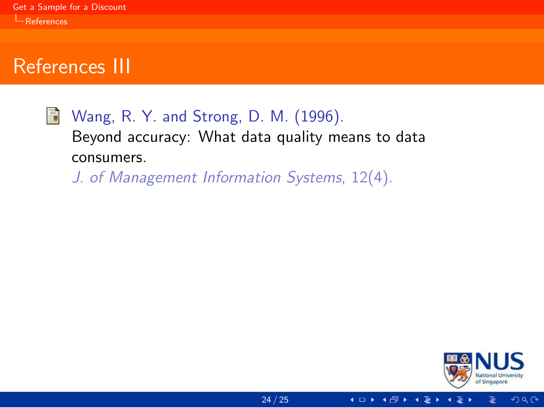#### <span id="page-58-1"></span>References III

<span id="page-58-0"></span>暈 Wang, R. Y. and Strong, D. M. (1996). Beyond accuracy: What data quality means to data consumers.

J. of Management Information Systems, 12(4).